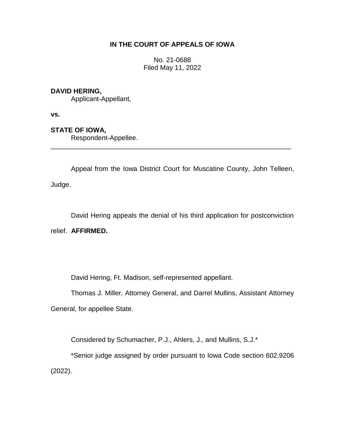## **IN THE COURT OF APPEALS OF IOWA**

No. 21-0688 Filed May 11, 2022

## **DAVID HERING,**

Applicant-Appellant,

**vs.**

# **STATE OF IOWA,**

Respondent-Appellee.

Appeal from the Iowa District Court for Muscatine County, John Telleen, Judge.

\_\_\_\_\_\_\_\_\_\_\_\_\_\_\_\_\_\_\_\_\_\_\_\_\_\_\_\_\_\_\_\_\_\_\_\_\_\_\_\_\_\_\_\_\_\_\_\_\_\_\_\_\_\_\_\_\_\_\_\_\_\_\_\_

David Hering appeals the denial of his third application for postconviction relief. **AFFIRMED.**

David Hering, Ft. Madison, self-represented appellant.

Thomas J. Miller, Attorney General, and Darrel Mullins, Assistant Attorney General, for appellee State.

Considered by Schumacher, P.J., Ahlers, J., and Mullins, S.J.\*

\*Senior judge assigned by order pursuant to Iowa Code section 602.9206 (2022).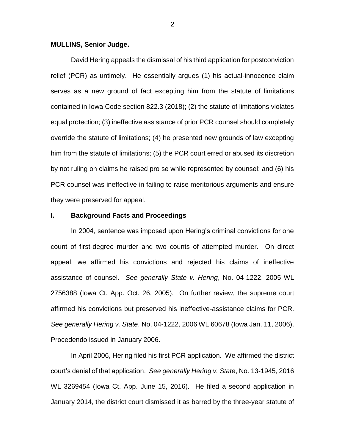#### **MULLINS, Senior Judge.**

David Hering appeals the dismissal of his third application for postconviction relief (PCR) as untimely. He essentially argues (1) his actual-innocence claim serves as a new ground of fact excepting him from the statute of limitations contained in Iowa Code section 822.3 (2018); (2) the statute of limitations violates equal protection; (3) ineffective assistance of prior PCR counsel should completely override the statute of limitations; (4) he presented new grounds of law excepting him from the statute of limitations; (5) the PCR court erred or abused its discretion by not ruling on claims he raised pro se while represented by counsel; and (6) his PCR counsel was ineffective in failing to raise meritorious arguments and ensure they were preserved for appeal.

#### **I. Background Facts and Proceedings**

In 2004, sentence was imposed upon Hering's criminal convictions for one count of first-degree murder and two counts of attempted murder. On direct appeal, we affirmed his convictions and rejected his claims of ineffective assistance of counsel. *See generally State v. Hering*, No. 04-1222, 2005 WL 2756388 (Iowa Ct. App. Oct. 26, 2005). On further review, the supreme court affirmed his convictions but preserved his ineffective-assistance claims for PCR. *See generally Hering v. State*, No. 04-1222, 2006 WL 60678 (Iowa Jan. 11, 2006). Procedendo issued in January 2006.

In April 2006, Hering filed his first PCR application. We affirmed the district court's denial of that application. *See generally Hering v. State*, No. 13-1945, 2016 WL 3269454 (Iowa Ct. App. June 15, 2016). He filed a second application in January 2014, the district court dismissed it as barred by the three-year statute of

2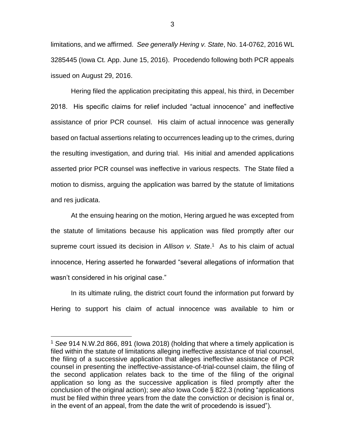limitations, and we affirmed. *See generally Hering v. State*, No. 14-0762, 2016 WL 3285445 (Iowa Ct. App. June 15, 2016). Procedendo following both PCR appeals issued on August 29, 2016.

Hering filed the application precipitating this appeal, his third, in December 2018. His specific claims for relief included "actual innocence" and ineffective assistance of prior PCR counsel. His claim of actual innocence was generally based on factual assertions relating to occurrences leading up to the crimes, during the resulting investigation, and during trial. His initial and amended applications asserted prior PCR counsel was ineffective in various respects. The State filed a motion to dismiss, arguing the application was barred by the statute of limitations and res judicata.

At the ensuing hearing on the motion, Hering argued he was excepted from the statute of limitations because his application was filed promptly after our supreme court issued its decision in *Allison v. State*. 1 As to his claim of actual innocence, Hering asserted he forwarded "several allegations of information that wasn't considered in his original case."

In its ultimate ruling, the district court found the information put forward by Hering to support his claim of actual innocence was available to him or

 $\overline{a}$ 

<sup>1</sup> *See* 914 N.W.2d 866, 891 (Iowa 2018) (holding that where a timely application is filed within the statute of limitations alleging ineffective assistance of trial counsel, the filing of a successive application that alleges ineffective assistance of PCR counsel in presenting the ineffective-assistance-of-trial-counsel claim, the filing of the second application relates back to the time of the filing of the original application so long as the successive application is filed promptly after the conclusion of the original action); *see also* Iowa Code § 822.3 (noting "applications must be filed within three years from the date the conviction or decision is final or, in the event of an appeal, from the date the writ of procedendo is issued").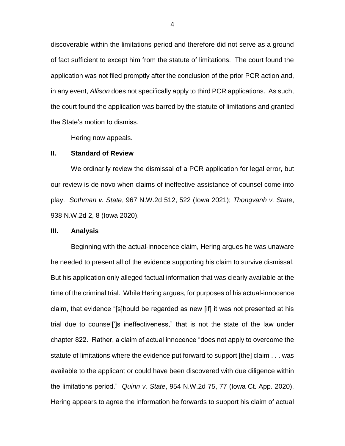discoverable within the limitations period and therefore did not serve as a ground of fact sufficient to except him from the statute of limitations. The court found the application was not filed promptly after the conclusion of the prior PCR action and, in any event, *Allison* does not specifically apply to third PCR applications. As such, the court found the application was barred by the statute of limitations and granted the State's motion to dismiss.

Hering now appeals.

### **II. Standard of Review**

We ordinarily review the dismissal of a PCR application for legal error, but our review is de novo when claims of ineffective assistance of counsel come into play. *Sothman v. State*, 967 N.W.2d 512, 522 (Iowa 2021); *Thongvanh v. State*, 938 N.W.2d 2, 8 (Iowa 2020).

### **III. Analysis**

Beginning with the actual-innocence claim, Hering argues he was unaware he needed to present all of the evidence supporting his claim to survive dismissal. But his application only alleged factual information that was clearly available at the time of the criminal trial. While Hering argues, for purposes of his actual-innocence claim, that evidence "[s]hould be regarded as new [if] it was not presented at his trial due to counsel[']s ineffectiveness," that is not the state of the law under chapter 822. Rather, a claim of actual innocence "does not apply to overcome the statute of limitations where the evidence put forward to support [the] claim . . . was available to the applicant or could have been discovered with due diligence within the limitations period." *Quinn v. State*, 954 N.W.2d 75, 77 (Iowa Ct. App. 2020). Hering appears to agree the information he forwards to support his claim of actual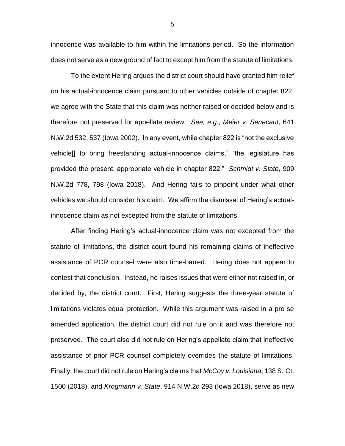innocence was available to him within the limitations period. So the information does not serve as a new ground of fact to except him from the statute of limitations.

To the extent Hering argues the district court should have granted him relief on his actual-innocence claim pursuant to other vehicles outside of chapter 822, we agree with the State that this claim was neither raised or decided below and is therefore not preserved for appellate review. *See, e.g.*, *Meier v. Senecaut*, 641 N.W.2d 532, 537 (Iowa 2002). In any event, while chapter 822 is "not the exclusive vehicle[] to bring freestanding actual-innocence claims," "the legislature has provided the present, appropriate vehicle in chapter 822." *Schmidt v. State*, 909 N.W.2d 778, 798 (Iowa 2018). And Hering fails to pinpoint under what other vehicles we should consider his claim. We affirm the dismissal of Hering's actualinnocence claim as not excepted from the statute of limitations.

After finding Hering's actual-innocence claim was not excepted from the statute of limitations, the district court found his remaining claims of ineffective assistance of PCR counsel were also time-barred. Hering does not appear to contest that conclusion. Instead, he raises issues that were either not raised in, or decided by, the district court. First, Hering suggests the three-year statute of limitations violates equal protection. While this argument was raised in a pro se amended application, the district court did not rule on it and was therefore not preserved. The court also did not rule on Hering's appellate claim that ineffective assistance of prior PCR counsel completely overrides the statute of limitations. Finally, the court did not rule on Hering's claims that *McCoy v. Louisiana*, 138 S. Ct. 1500 (2018), and *Krogmann v. State*, 914 N.W.2d 293 (Iowa 2018), serve as new

5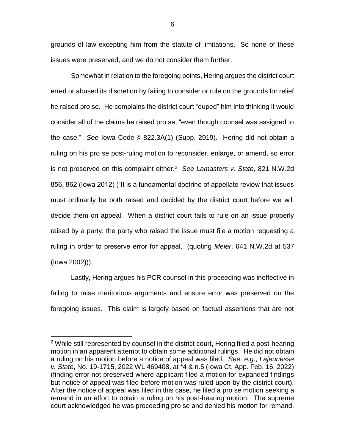grounds of law excepting him from the statute of limitations. So none of these issues were preserved, and we do not consider them further.

Somewhat in relation to the foregoing points, Hering argues the district court erred or abused its discretion by failing to consider or rule on the grounds for relief he raised pro se. He complains the district court "duped" him into thinking it would consider all of the claims he raised pro se, "even though counsel was assigned to the case." *See* Iowa Code § 822.3A(1) (Supp. 2019). Hering did not obtain a ruling on his pro se post-ruling motion to reconsider, enlarge, or amend, so error is not preserved on this complaint either.<sup>2</sup> *See Lamasters v. State*, 821 N.W.2d 856, 862 (Iowa 2012) ("It is a fundamental doctrine of appellate review that issues must ordinarily be both raised and decided by the district court before we will decide them on appeal. When a district court fails to rule on an issue properly raised by a party, the party who raised the issue must file a motion requesting a ruling in order to preserve error for appeal." (quoting *Meier*, 641 N.W.2d at 537 (Iowa 2002))).

Lastly, Hering argues his PCR counsel in this proceeding was ineffective in failing to raise meritorious arguments and ensure error was preserved on the foregoing issues. This claim is largely based on factual assertions that are not

 $\overline{a}$ 

 $2$  While still represented by counsel in the district court, Hering filed a post-hearing motion in an apparent attempt to obtain some additional rulings. He did not obtain a ruling on his motion before a notice of appeal was filed. *See, e.g.*, *Lajeunesse v. State*, No. 19-1715, 2022 WL 469408, at \*4 & n.5 (Iowa Ct. App. Feb. 16, 2022) (finding error not preserved where applicant filed a motion for expanded findings but notice of appeal was filed before motion was ruled upon by the district court). After the notice of appeal was filed in this case, he filed a pro se motion seeking a remand in an effort to obtain a ruling on his post-hearing motion. The supreme court acknowledged he was proceeding pro se and denied his motion for remand.